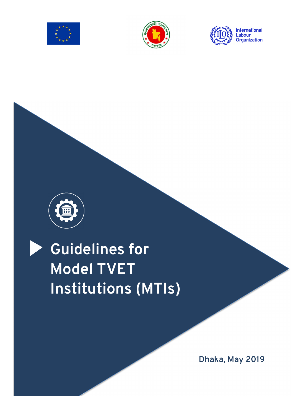

 $\overline{a}$ 







# **Guidelines for Model TVET Institutions (MTIs)**

**Dhaka, May 2019**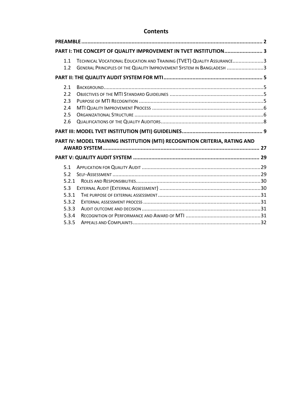# **Contents**

|                                        | PART I: THE CONCEPT OF QUALITY IMPROVEMENT IN TVET INSTITUTION 3                                                                              |  |
|----------------------------------------|-----------------------------------------------------------------------------------------------------------------------------------------------|--|
| 1.1<br>1.2                             | TECHNICAL VOCATIONAL EDUCATION AND TRAINING (TVET) QUALITY ASSURANCE3<br>GENERAL PRINCIPLES OF THE QUALITY IMPROVEMENT SYSTEM IN BANGLADESH 3 |  |
|                                        |                                                                                                                                               |  |
| 2.1<br>2.2<br>2.3<br>2.4<br>2.5<br>2.6 |                                                                                                                                               |  |
|                                        |                                                                                                                                               |  |
|                                        |                                                                                                                                               |  |
|                                        | PART IV: MODEL TRAINING INSTITUTION (MTI) RECOGNITION CRITERIA, RATING AND                                                                    |  |
|                                        |                                                                                                                                               |  |
|                                        |                                                                                                                                               |  |
|                                        |                                                                                                                                               |  |
| 5.1                                    |                                                                                                                                               |  |
| 5.2<br>5.2.1                           |                                                                                                                                               |  |
| 5.3                                    |                                                                                                                                               |  |
| 5.3.1                                  |                                                                                                                                               |  |
| 5.3.2                                  |                                                                                                                                               |  |
| 5.3.3                                  |                                                                                                                                               |  |
| 5.3.4                                  |                                                                                                                                               |  |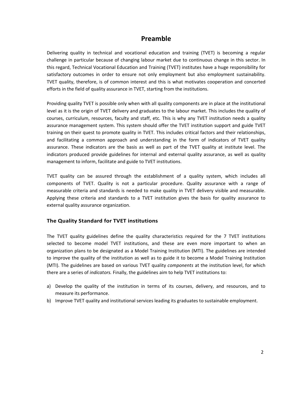# **Preamble**

Delivering quality in technical and vocational education and training (TVET) is becoming a regular challenge in particular because of changing labour market due to continuous change in this sector. In this regard, Technical Vocational Education and Training (TVET) institutes have a huge responsibility for satisfactory outcomes in order to ensure not only employment but also employment sustainability. TVET quality, therefore, is of common interest and this is what motivates cooperation and concerted efforts in the field of quality assurance in TVET, starting from the institutions.

Providing quality TVET is possible only when with all quality components are in place at the institutional level as it is the origin of TVET delivery and graduates to the labour market. This includes the quality of courses, curriculum, resources, faculty and staff, etc. This is why any TVET institution needs a quality assurance management system. This system should offer the TVET institution support and guide TVET training on their quest to promote quality in TVET. This includes critical factors and their relationships, and facilitating a common approach and understanding in the form of indicators of TVET quality assurance. These indicators are the basis as well as part of the TVET quality at institute level. The indicators produced provide guidelines for internal and external quality assurance, as well as quality management to inform, facilitate and guide to TVET institutions.

TVET quality can be assured through the establishment of a quality system, which includes all components of TVET. Quality is not a particular procedure. Quality assurance with a range of measurable criteria and standards is needed to make quality in TVET delivery visible and measurable. Applying these criteria and standards to a TVET institution gives the basis for quality assurance to external quality assurance organization.

#### **The Quality Standard for TVET institutions**

The TVET quality guidelines define the quality characteristics required for the 7 TVET institutions selected to become model TVET institutions, and these are even more important to when an organization plans to be designated as a Model Training Institution (MTI). The guidelines are intended to improve the quality of the institution as well as to guide it to become a Model Training Institution (MTI). The guidelines are based on various TVET quality *components* at the institution level, for which there are a series of *indicators.* Finally, the guidelines aim to help TVET institutions to:

- a) Develop the quality of the institution in terms of its courses, delivery, and resources, and to measure its performance.
- b) Improve TVET quality and institutional services leading its graduates to sustainable employment.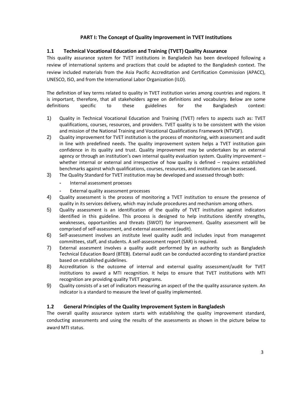## **PART I: The Concept of Quality Improvement in TVET Institutions**

#### **1.1 Technical Vocational Education and Training (TVET) Quality Assurance**

This quality assurance system for TVET institutions in Bangladesh has been developed following a review of international systems and practices that could be adapted to the Bangladesh context. The review included materials from the Asia Pacific Accreditation and Certification Commission (APACC), UNESCO, ISO, and from the International Labor Organization (ILO).

The definition of key terms related to quality in TVET institution varies among countries and regions. It is important, therefore, that all stakeholders agree on definitions and vocabulary. Below are some definitions specific to these guidelines for the Bangladesh context:

- 1) Quality in Technical Vocational Education and Training (TVET) refers to aspects such as: TVET qualifications, courses, resources, and providers. TVET quality is to be consistent with the vision and mission of the National Training and Vocational Qualifications Framework (NTVQF).
- 2) Quality improvement for TVET institution is the process of monitoring, with assessment and audit in line with predefined needs. The quality improvement system helps a TVET institution gain confidence in its quality and trust. Quality improvement may be undertaken by an external agency or through an institution's own internal quality evaluation system. Quality improvement – whether internal or external and irrespective of how quality is defined – requires established benchmarks against which qualifications, courses, resources, and institutions can be assessed.
- 3) The Quality Standard for TVET institution may be developed and assessed through both:
	- Internal assessment proesses
	- External quality assessment processes
- 4) Quality assessment is the process of monitoring a TVET institution to ensure the presence of quality in its services delivery, which may include procedures and mechanism among others.
- 5) Quality assessment is an identification of the quality of TVET institution against indicators identified in this guideline. This process is designed to help institutions identify strengths, weaknesses, opportunities and threats (SWOT) for improvement. Quality assessment will be comprised of self-assessment, and external assessment (audit).
- 6) Self-assessment involves an institute level quality audit and includes input from managemnt committees, staff, and students. A self-assessment report (SAR) is required.
- 7) External assesment involves a quality audit performed by an authority such as Bangladesh Technical Education Board (BTEB). External audit can be conducted according to standard practice based on established guidelines.
- 8) Accreditation is the outcome of internal and external quality assessment/audit for TVET institutions to award a MTI recognition. It helps to ensure that TVET institutions with MTI recognition are providing quality TVET programs.
- 9) Quality consists of a set of indicators measuring an aspect of the the quality assurance system. An indicator is a standard to measure the level of quality implemented.

#### **1.2 General Principles of the Quality Improvement System in Bangladesh**

The overall quality assurance system starts with establishing the quality improvement standard, conducting assessments and using the results of the assessments as shown in the picture below to award MTI status.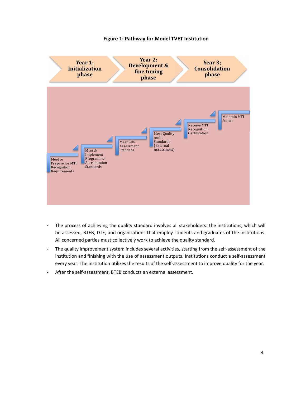

#### **Figure 1: Pathway for Model TVET Institution**

- The process of achieving the quality standard involves all stakeholders: the institutions, which will be assessed, BTEB, DTE, and organizations that employ students and graduates of the institutions. All concerned parties must collectively work to achieve the quality standard.
- The quality improvement system includes several activities, starting from the self-assessment of the institution and finishing with the use of assessment outputs. Institutions conduct a self-assessment every year. The institution utilizes the results of the self-assessment to improve quality for the year.
- After the self-assessment, BTEB conducts an external assessment.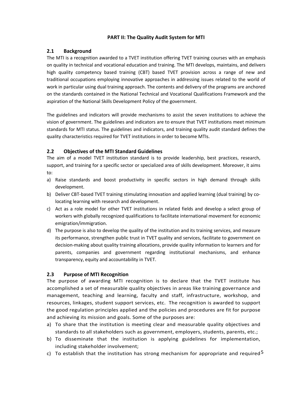#### **PART II: The Quality Audit System for MTI**

## **2.1 Background**

The MTI is a recognition awarded to a TVET institution offering TVET training courses with an emphasis on quality in technical and vocational education and training. The MTI develops, maintains, and delivers high quality competency based training (CBT) based TVET provision across a range of new and traditional occupations employing innovative approaches in addressing issues related to the world of work in particular using dual training approach. The contents and delivery of the programs are anchored on the standards contained in the National Technical and Vocational Qualifications Framework and the aspiration of the National Skills Development Policy of the government.

The guidelines and indicators will provide mechanisms to assist the seven institutions to achieve the vision of government. The guidelines and indicators are to ensure that TVET institutions meet minimum standards for MTI status. The guidelines and indicators, and training quality audit standard defines the quality characteristics required for TVET institutions in order to become MTIs.

## **2.2 Objectives of the MTI Standard Guidelines**

The aim of a model TVET institution standard is to provide leadership, best practices, research, support, and training for a specific sector or specialized area of skills development. Moreover, it aims to:

- a) Raise standards and boost productivity in specific sectors in high demand through skills development.
- b) Deliver CBT-based TVET training stimulating innovation and applied learning (dual training) by colocating learning with research and development.
- c) Act as a role model for other TVET institutions in related fields and develop a select group of workers with globally recognized qualifications to facilitate international movement for economic emigration/immigration.
- d) The purpose is also to develop the quality of the institution and its training services, and measure its performance, strengthen public trust in TVET quality and services, facilitate to government on decision-making about quality training allocations, provide quality information to learners and for parents, companies and government regarding institutional mechanisms, and enhance transparency, equity and accountability in TVET.

#### **2.3 Purpose of MTI Recognition**

The purpose of awarding MTI recognition is to declare that the TVET institute has accomplished a set of measurable quality objectives in areas like training governance and management, teaching and learning, faculty and staff, infrastructure, workshop, and resources, linkages, student support services, etc. The recognition is awarded to support the good regulation principles applied and the policies and procedures are fit for purpose and achieving its mission and goals. Some of the purposes are:

- a) To share that the institution is meeting clear and measurable quality objectives and standards to all stakeholders such as government, employers, students, parents, etc.;
- b) To disseminate that the institution is applying guidelines for implementation, including stakeholder involvement;
- c) To establish that the institution has strong mechanism for appropriate and required<sup>5</sup>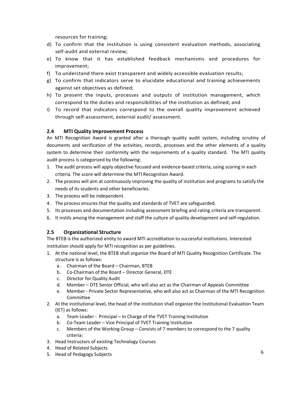resources for training;

- d) To confirm that the institution is using consistent evaluation methods, associating self-audit and external review;
- e) To know that it has established feedback mechanisms and procedures for improvement;
- f) To understand there exist transparent and widely accessible evaluation results;
- g) To confirm that indicators serve to elucidate educational and training achievements against set objectives as defined;
- h) To present the inputs, processes and outputs of institution management, which correspond to the duties and responsibilities of the institution as defined; and
- i) To record that indicators correspond to the overall quality improvement achieved through self-assessment, external audit/ assessment.

## **2.4 MTI Quality Improvement Process**

An MTI Recognition Award is granted after a thorough quality audit system, including scrutiny of documents and verification of the activities, records, processes and the other elements of a quality system to determine their conformity with the requirements of a quality standard. The MTI quality audit process is categorized by the following:

- 1. The audit process will apply objective focused and evidence-based criteria, using scoring in each criteria. The score will determine the MTI Recognition Award.
- 2. The process will aim at continuously improving the quality of institution and programs to satisfy the needs of its students and other beneficiaries.
- 3. The process will be independent.
- 4. The process ensures that the quality and standards of TVET are safeguarded.
- 5. Its processes and documentation including assessment briefing and rating criteria are transparent.
- 6. It instils among the management and staff the culture of quality development and self-regulation.

#### **2.5 Organizational Structure**

The BTEB is the authorized entity to award MTI accreditation to successful institutions. Interested institution should apply for MTI recognition as per guidelines.

- 1. At the national level, the BTEB shall organize the Board of MTI Quality Recognition Certificate. The structure is as follows:
	- a. Chairman of the Board Chairman, BTEB
	- b. Co-Chairman of the Board Director General, DTE
	- c. Director for Quality Audit
	- d. Member DTE Senior Official, who will also act as the Chairman of Appeals Committee
	- e. Member Private Sector Representative, who will also act as Chairman of the MTI Recognition Committee
- 2. At the institutional level, the head of the institution shall organize the Institutional Evaluation Team (IET) as follows:
	- a. Team Leader Principal In Charge of the TVET Training Institution
	- b. Co-Team Leader Vice Principal of TVET Training Institution
	- c. Members of the Working Group Consists of 7 members to correspond to the 7 quality criteria:
- 3. Head Instructors of existing Technology Courses
- 4. Head of Related Subjects
- 5. Head of Pedagogy Subjects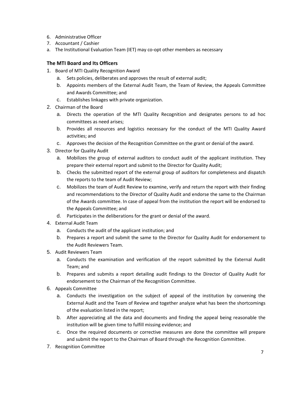- 6. Administrative Officer
- 7. Accountant / Cashier
- a. The Institutional Evaluation Team (IET) may co-opt other members as necessary

## **The MTI Board and Its Officers**

- 1. Board of MTI Quality Recognition Award
	- a. Sets policies, deliberates and approves the result of external audit;
	- b. Appoints members of the External Audit Team, the Team of Review, the Appeals Committee and Awards Committee; and
	- c. Establishes linkages with private organization.
- 2. Chairman of the Board
	- a. Directs the operation of the MTI Quality Recognition and designates persons to ad hoc committees as need arises;
	- b. Provides all resources and logistics necessary for the conduct of the MTI Quality Award activities; and
	- c. Approves the decision of the Recognition Committee on the grant or denial of the award.
- 3. Director for Quality Audit
	- a. Mobilizes the group of external auditors to conduct audit of the applicant institution. They prepare their external report and submit to the Director for Quality Audit;
	- b. Checks the submitted report of the external group of auditors for completeness and dispatch the reports to the team of Audit Review;
	- c. Mobilizes the team of Audit Review to examine, verify and return the report with their finding and recommendations to the Director of Quality Audit and endorse the same to the Chairman of the Awards committee. In case of appeal from the institution the report will be endorsed to the Appeals Committee; and
	- d. Participates in the deliberations for the grant or denial of the award.
- 4. External Audit Team
	- a. Conducts the audit of the applicant institution; and
	- b. Prepares a report and submit the same to the Director for Quality Audit for endorsement to the Audit Reviewers Team.
- 5. Audit Reviewers Team
	- a. Conducts the examination and verification of the report submitted by the External Audit Team; and
	- b. Prepares and submits a report detailing audit findings to the Director of Quality Audit for endorsement to the Chairman of the Recognition Committee.
- 6. Appeals Committee
	- a. Conducts the investigation on the subject of appeal of the institution by convening the External Audit and the Team of Review and together analyze what has been the shortcomings of the evaluation listed in the report;
	- b. After appreciating all the data and documents and finding the appeal being reasonable the institution will be given time to fulfill missing evidence; and
	- c. Once the required documents or corrective measures are done the committee will prepare and submit the report to the Chairman of Board through the Recognition Committee.
- 7. Recognition Committee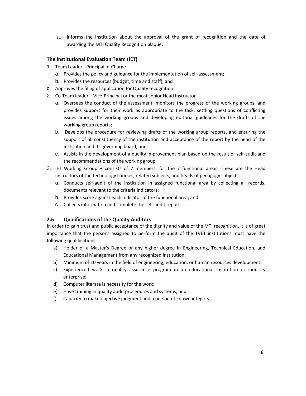a. Informs the institution about the approval of the grant of recognition and the date of awarding the MTI Quality Recognition plaque.

## **The Institutional Evaluation Team (IET)**

- 1. Team Leader Principal In-Charge
	- a. Provides the policy and guidance for the implementation of self-assessment;
	- b. Provides the resources (budget, time and staff); and
- c. Approves the filing of application for Quality recognition.
- 2. Co-Team leader Vice-Principal or the most senior Head Instructor
	- a. Oversees the conduct of the assessment, monitors the progress of the working groups, and provides support for their work as appropriate to the task, settling questions of conflicting issues among the working groups and developing editorial guidelines for the drafts of the working group reports;
	- b. Develops the procedure for reviewing drafts of the working group reports, and ensuring the support of all constituency of the institution and acceptance of the report by the head of the institution and its governing board; and
	- c. Assists in the development of a quality improvement plan based on the result of self-audit and the recommendations of the working group
- 3. IET Working Group consists of 7 members, for the 7 functional areas. These are the Head Instructors of the technology courses, related subjects, and heads of pedagogy subjects;
	- a. Conducts self-audit of the institution in assigned functional area by collecting all records, documents relevant to the criteria indicators;
	- b. Provides score against each indicator of the functional area; and
	- c. Collects information and complete the self-audit report.

## **2.6 Qualifications of the Quality Auditors**

In order to gain trust and public acceptance of the dignity and value of the MTI recognition, it is of great importance that the persons assigned to perform the audit of the TVET institutions must have the following qualifications:

- a) Holder of a Master's Degree or any higher degree in Engineering, Technical Education, and Educational Management from any recognized institution;
- b) Minimum of 10 years in the field of engineering, education, or human resources development;
- c) Experienced work in quality assurance program in an educational institution or industry enterprise;
- d) Computer literate is necessity for the work;
- e) Have training in quality audit procedures and systems; and
- f) Capacity to make objective judgment and a person of known integrity.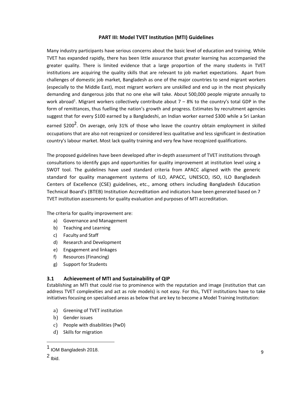#### **PART III: Model TVET Institution (MTI) Guidelines**

Many industry participants have serious concerns about the basic level of education and training. While TVET has expanded rapidly, there has been little assurance that greater learning has accompanied the greater quality. There is limited evidence that a large proportion of the many students in TVET institutions are acquiring the quality skills that are relevant to job market expectations. Apart from challenges of domestic job market, Bangladesh as one of the major countries to send migrant workers (especially to the Middle East), most migrant workers are unskilled and end up in the most physically demanding and dangerous jobs that no one else will take. About 500,000 people migrate annually to work abroad<sup>1</sup>. Migrant workers collectively contribute about  $7 - 8%$  to the country's total GDP in the form of remittances, thus fuelling the nation's growth and progress. Estimates by recruitment agencies suggest that for every \$100 earned by a Bangladeshi, an Indian worker earned \$300 while a Sri Lankan

earned \$200<sup>2</sup>. On average, only 31% of those who leave the country obtain employment in skilled occupations that are also not recognized or considered less qualitative and less significant in destination country's labour market. Most lack quality training and very few have recognized qualifications.

The proposed guidelines have been developed after in-depth assessment of TVET institutions through consultations to identify gaps and opportunities for quality improvement at institution level using a SWOT tool. The guidelines have used standard criteria from APACC aligned with the generic standard for quality management systems of ILO, APACC, UNESCO, ISO, ILO Bangladesh Centers of Excellence (CSE) guidelines, etc., among others including Bangladesh Education Technical Board's (BTEB) Institution Accreditation and indicators have been generated based on 7 TVET institution assessments for quality evaluation and purposes of MTI accreditation.

The criteria for quality improvement are:

- a) Governance and Management
- b) Teaching and Learning
- c) Faculty and Staff
- d) Research and Development
- e) Engagement and linkages
- f) Resources (Financing)
- g) Support for Students

#### **3.1 Achievement of MTI and Sustainability of QIP**

Establishing an MTI that could rise to prominence with the reputation and image (institution that can address TVET complexities and act as role models) is not easy. For this, TVET institutions have to take initiatives focusing on specialised areas as below that are key to become a Model Training Institution:

- a) Greening of TVET institution
- b) Gender issues
- c) People with disabilities (PwD)
- d) Skills for migration

-

<sup>1</sup> IOM Bangladesh 2018.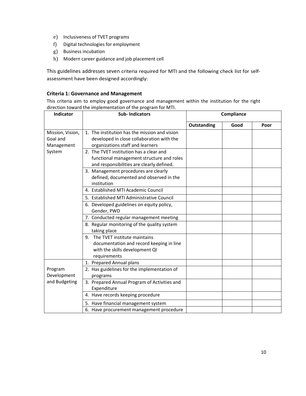- e) Inclusiveness of TVET programs
- f) Digital technologies for employment
- g) Business incubation
- h) Modern career guidance and job placement cell

This guidelines addresses seven criteria required for MTI and the following check list for selfassessment have been designed accordingly:

#### **Criteria 1: Governance and Management**

This criteria aim to employ good governance and management within the institution for the right direction toward the implementation of the program for MTI.

| Indicator                                            | <b>Sub-Indicators</b>                                                                                                                                                     | Compliance  |      |      |
|------------------------------------------------------|---------------------------------------------------------------------------------------------------------------------------------------------------------------------------|-------------|------|------|
|                                                      |                                                                                                                                                                           | Outstanding | Good | Poor |
| Mission, Vision,<br>Goal and<br>Management<br>System | 1. The institution has the mission and vision<br>developed in close collaboration with the<br>organizations staff and learners<br>2. The TVET institution has a clear and |             |      |      |
|                                                      | functional management structure and roles<br>and responsibilities are clearly defined.                                                                                    |             |      |      |
|                                                      | 3. Management procedures are clearly<br>defined, documented and observed in the<br>institution                                                                            |             |      |      |
|                                                      | 4. Established MTI Academic Council                                                                                                                                       |             |      |      |
|                                                      | 5. Established MTI Administrative Council                                                                                                                                 |             |      |      |
|                                                      | 6. Developed guidelines on equity policy,<br>Gender, PWD                                                                                                                  |             |      |      |
|                                                      | 7. Conducted regular management meeting                                                                                                                                   |             |      |      |
|                                                      | 8. Regular monitoring of the quality system<br>taking place                                                                                                               |             |      |      |
|                                                      | 9. The TVET institute maintains<br>documentation and record keeping in line<br>with the skills development QI<br>requirements                                             |             |      |      |
|                                                      | 1. Prepared Annual plans                                                                                                                                                  |             |      |      |
| Program<br>Development<br>and Budgeting              | 2. Has guidelines for the implementation of<br>programs                                                                                                                   |             |      |      |
|                                                      | 3. Prepared Annual Program of Activities and<br>Expenditure                                                                                                               |             |      |      |
|                                                      | 4. Have records keeping procedure                                                                                                                                         |             |      |      |
|                                                      | 5. Have financial management system                                                                                                                                       |             |      |      |
|                                                      | 6. Have procurement management procedure                                                                                                                                  |             |      |      |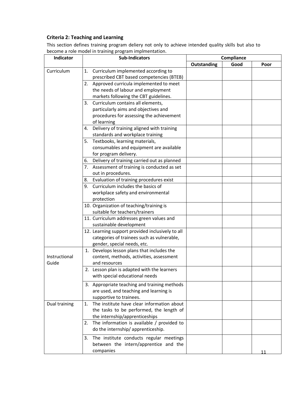# **Criteria 2: Teaching and Learning**

This section defines training program deliery not only to achieve intended quality skills but also to become a role model in training program implmentation.

| Indicator     | <b>Sub-Indicators</b>                             | Compliance  |      |      |
|---------------|---------------------------------------------------|-------------|------|------|
|               |                                                   | Outstanding | Good | Poor |
| Curriculum    | 1. Curriculum implemented according to            |             |      |      |
|               | prescribed CBT based competencies (BTEB)          |             |      |      |
|               | 2. Approved curricula implemented to meet         |             |      |      |
|               | the needs of labour and employment                |             |      |      |
|               | markets following the CBT guidelines.             |             |      |      |
|               | Curriculum contains all elements,<br>3.           |             |      |      |
|               | particularly aims and objectives and              |             |      |      |
|               | procedures for assessing the achievement          |             |      |      |
|               | of learning                                       |             |      |      |
|               | 4. Delivery of training aligned with training     |             |      |      |
|               | standards and workplace training                  |             |      |      |
|               | Textbooks, learning materials,<br>5.              |             |      |      |
|               | consumables and equipment are available           |             |      |      |
|               | for program delivery.                             |             |      |      |
|               | Delivery of training carried out as planned<br>6. |             |      |      |
|               | 7. Assessment of training is conducted as set     |             |      |      |
|               | out in procedures.                                |             |      |      |
|               | 8. Evaluation of training procedures exist        |             |      |      |
|               | Curriculum includes the basics of<br>9.           |             |      |      |
|               | workplace safety and environmental                |             |      |      |
|               | protection                                        |             |      |      |
|               | 10. Organization of teaching/training is          |             |      |      |
|               | suitable for teachers/trainers                    |             |      |      |
|               | 11. Curriculum addresses green values and         |             |      |      |
|               | sustainable development                           |             |      |      |
|               | 12. Learning support provided inclusively to all  |             |      |      |
|               | categories of trainees such as vulnerable,        |             |      |      |
|               | gender, special needs, etc.                       |             |      |      |
|               | 1. Develops lesson plans that includes the        |             |      |      |
| Instructional | content, methods, activities, assessment          |             |      |      |
| Guide         | and resources                                     |             |      |      |
|               | 2. Lesson plan is adapted with the learners       |             |      |      |
|               | with special educational needs                    |             |      |      |
|               | 3. Appropriate teaching and training methods      |             |      |      |
|               | are used, and teaching and learning is            |             |      |      |
|               | supportive to trainees.                           |             |      |      |
| Dual training | The institute have clear information about<br>1.  |             |      |      |
|               | the tasks to be performed, the length of          |             |      |      |
|               | the internship/apprenticeships                    |             |      |      |
|               | 2. The information is available / provided to     |             |      |      |
|               | do the internship/apprenticeship.                 |             |      |      |
|               | 3. The institute conducts regular meetings        |             |      |      |
|               | between the intern/apprentice and the             |             |      |      |
|               | companies                                         |             |      | 11   |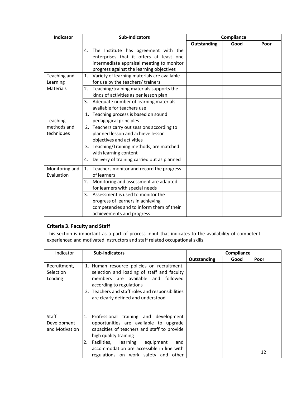| Indicator      |    | <b>Sub-Indicators</b>                       |             | Compliance |      |
|----------------|----|---------------------------------------------|-------------|------------|------|
|                |    |                                             | Outstanding | Good       | Poor |
|                | 4. | The Institute has agreement with the        |             |            |      |
|                |    | enterprises that it offers at least one     |             |            |      |
|                |    | intermediate appraisal meeting to monitor   |             |            |      |
|                |    | progress against the learning objectives    |             |            |      |
| Teaching and   | 1. | Variety of learning materials are available |             |            |      |
| Learning       |    | for use by the teachers/ trainers           |             |            |      |
| Materials      |    | 2. Teaching/training materials supports the |             |            |      |
|                |    | kinds of activities as per lesson plan      |             |            |      |
|                |    | 3. Adequate number of learning materials    |             |            |      |
|                |    | available for teachers use                  |             |            |      |
|                |    | 1. Teaching process is based on sound       |             |            |      |
| Teaching       |    | pedagogical principles                      |             |            |      |
| methods and    |    | 2. Teachers carry out sessions according to |             |            |      |
| techniques     |    | planned lesson and achieve lesson           |             |            |      |
|                |    | objectives and activities                   |             |            |      |
|                |    | 3. Teaching/Training methods, are matched   |             |            |      |
|                |    | with learning content                       |             |            |      |
|                | 4. | Delivery of training carried out as planned |             |            |      |
| Monitoring and | 1. | Teachers monitor and record the progress    |             |            |      |
| Evaluation     |    | of learners                                 |             |            |      |
|                |    | 2. Monitoring and assessment are adapted    |             |            |      |
|                |    | for learners with special needs             |             |            |      |
|                |    | 3. Assessment is used to monitor the        |             |            |      |
|                |    | progress of learners in achieving           |             |            |      |
|                |    | competencies and to inform them of their    |             |            |      |
|                |    | achievements and progress                   |             |            |      |

## **Criteria 3. Faculty and Staff**

This section is important as a part of process input that indicates to the availability of competent experienced and motivated instructors and staff related occupational skills.

| Indicator                                     | <b>Sub-Indicators</b><br>Compliance                                                                                                                           |                    |      |      |
|-----------------------------------------------|---------------------------------------------------------------------------------------------------------------------------------------------------------------|--------------------|------|------|
|                                               |                                                                                                                                                               | <b>Outstanding</b> | Good | Poor |
| Recruitment,<br>Selection<br>Loading          | 1. Human resource policies on recruitment,<br>selection and loading of staff and faculty<br>members are available and followed<br>according to regulations    |                    |      |      |
|                                               | 2. Teachers and staff roles and responsibilities<br>are clearly defined and understood                                                                        |                    |      |      |
| <b>Staff</b><br>Development<br>and Motivation | 1.<br>Professional training and development<br>opportunities are available to upgrade<br>capacities of teachers and staff to provide<br>high quality training |                    |      |      |
|                                               | Facilities,<br>2.<br>learning<br>equipment<br>and<br>accommodation are accessible in line with<br>regulations on work safety and other                        |                    |      | 12   |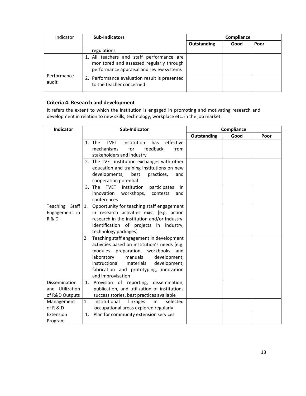| Indicator            | <b>Sub-Indicators</b>                                                                                                             | Compliance  |      |      |
|----------------------|-----------------------------------------------------------------------------------------------------------------------------------|-------------|------|------|
|                      |                                                                                                                                   | Outstanding | Good | Poor |
|                      | regulations                                                                                                                       |             |      |      |
|                      | 1. All teachers and staff performance are<br>monitored and assessed regularly through<br>performance appraisal and review systems |             |      |      |
| Performance<br>audit | 2. Performance evaluation result is presented<br>to the teacher concerned                                                         |             |      |      |

# **Criteria 4. Research and development**

It refers the extent to which the institution is engaged in promoting and motivating research and development in relation to new skills, technology, workplace etc. in the job market.

| Indicator         | Sub-Indicator                                            |             | Compliance |      |
|-------------------|----------------------------------------------------------|-------------|------------|------|
|                   |                                                          | Outstanding | Good       | Poor |
|                   | 1. The<br>effective<br><b>TVET</b><br>institution<br>has |             |            |      |
|                   | mechanisms<br>for<br>feedback<br>from                    |             |            |      |
|                   | stakeholders and industry                                |             |            |      |
|                   | 2. The TVET institution exchanges with other             |             |            |      |
|                   | education and training institutions on new               |             |            |      |
|                   | developments,<br>best<br>practices,<br>and               |             |            |      |
|                   | cooperation potential                                    |             |            |      |
|                   | 3. The TVET<br>institution<br>participates<br>in         |             |            |      |
|                   | workshops,<br>innovation<br>contests<br>and              |             |            |      |
|                   | conferences                                              |             |            |      |
| Teaching Staff 1. | Opportunity for teaching staff engagement                |             |            |      |
| Engagement in     | in research activities exist [e.g. action                |             |            |      |
| R&D               | research in the institution and/or Industry,             |             |            |      |
|                   | identification of projects in industry,                  |             |            |      |
|                   | technology packages]                                     |             |            |      |
|                   | Teaching staff engagement in development<br>2.           |             |            |      |
|                   | activities based on institution's needs [e.g.            |             |            |      |
|                   | modules preparation, workbooks<br>and                    |             |            |      |
|                   | laboratory<br>manuals<br>development,                    |             |            |      |
|                   | instructional<br>materials<br>development,               |             |            |      |
|                   | fabrication and prototyping, innovation                  |             |            |      |
|                   | and improvisation                                        |             |            |      |
| Dissemination     | Provision of reporting, dissemination,<br>1.             |             |            |      |
| and Utilization   | publication, and utilization of institutions             |             |            |      |
| of R&D Outputs    | success stories, best practices available                |             |            |      |
| Management        | Institutional<br>linkages<br>1.<br>selected<br>in        |             |            |      |
| of R & D          | occupational areas explored regularly                    |             |            |      |
| Extension         | Plan for community extension services<br>1.              |             |            |      |
| Program           |                                                          |             |            |      |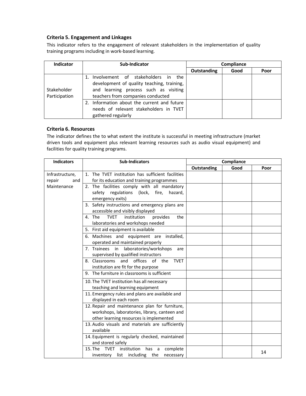#### **Criteria 5. Engagement and Linkages**

This indicator refers to the engagement of relevant stakeholders in the implementation of quality training programs including in work-based learning.

| Indicator                    | Sub-Indicator                                                                                                                                                     | Compliance  |      |      |
|------------------------------|-------------------------------------------------------------------------------------------------------------------------------------------------------------------|-------------|------|------|
|                              |                                                                                                                                                                   | Outstanding | Good | Poor |
| Stakeholder<br>Participation | 1. Involvement of stakeholders in the<br>development of quality teaching, training,<br>and learning process such as visiting<br>teachers from companies conducted |             |      |      |
|                              | 2. Information about the current and future<br>needs of relevant stakeholders in TVET<br>gathered regularly                                                       |             |      |      |

#### **Criteria 6. Resources**

The indicator defines the to what extent the institute is successful in meeting infrastructure (market driven tools and equipment plus relevant learning resources such as audio visual equipment) and facilities for quality training programs.

| <b>Indicators</b> | <b>Sub-Indicators</b>                                   | Compliance  |      |      |
|-------------------|---------------------------------------------------------|-------------|------|------|
|                   |                                                         | Outstanding | Good | Poor |
| Infrastructure,   | 1. The TVET institution has sufficient facilities       |             |      |      |
| repair<br>and     | for its education and training programmes               |             |      |      |
| Maintenance       | 2. The facilities comply with all mandatory             |             |      |      |
|                   | safety regulations (lock, fire, hazard,                 |             |      |      |
|                   | emergency exits)                                        |             |      |      |
|                   | 3. Safety instructions and emergency plans are          |             |      |      |
|                   | accessible and visibly displayed                        |             |      |      |
|                   | <b>TVET</b><br>4. The<br>institution<br>provides<br>the |             |      |      |
|                   | laboratories and workshops needed                       |             |      |      |
|                   | 5. First aid equipment is available                     |             |      |      |
|                   | 6. Machines and equipment are<br>installed,             |             |      |      |
|                   | operated and maintained properly                        |             |      |      |
|                   | 7. Trainees<br>in laboratories/workshops<br>are         |             |      |      |
|                   | supervised by qualified instructors                     |             |      |      |
|                   | 8. Classrooms and offices of the<br><b>TVET</b>         |             |      |      |
|                   | institution are fit for the purpose                     |             |      |      |
|                   | 9. The furniture in classrooms is sufficient            |             |      |      |
|                   | 10. The TVET institution has all necessary              |             |      |      |
|                   | teaching and learning equipment                         |             |      |      |
|                   | 11. Emergency rules and plans are available and         |             |      |      |
|                   | displayed in each room                                  |             |      |      |
|                   | 12. Repair and maintenance plan for furniture,          |             |      |      |
|                   | workshops, laboratories, library, canteen and           |             |      |      |
|                   | other learning resources is implemented                 |             |      |      |
|                   | 13. Audio visuals and materials are sufficiently        |             |      |      |
|                   | available                                               |             |      |      |
|                   | 14. Equipment is regularly checked, maintained          |             |      |      |
|                   | and stored safely                                       |             |      |      |
|                   | 15. The TVET institution has a<br>complete              |             |      | 14   |
|                   | inventory list including the<br>necessary               |             |      |      |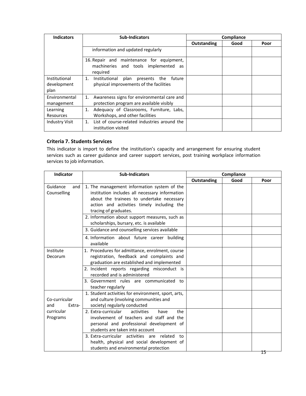| <b>Indicators</b>                    | <b>Sub-Indicators</b>                                                                         |             | Compliance |      |
|--------------------------------------|-----------------------------------------------------------------------------------------------|-------------|------------|------|
|                                      |                                                                                               | Outstanding | Good       | Poor |
|                                      | information and updated regularly                                                             |             |            |      |
|                                      | 16. Repair and maintenance for equipment,<br>machineries and tools implemented as<br>required |             |            |      |
| Institutional<br>development<br>plan | 1. Institutional plan presents the future<br>physical improvements of the facilities          |             |            |      |
| Environmental<br>management          | Awareness signs for environmental care and<br>1.<br>protection program are available visibly  |             |            |      |
| Learning<br><b>Resources</b>         | Adequacy of Classrooms, Furniture, Labs,<br>1.<br>Workshops, and other facilities             |             |            |      |
| <b>Industry Visit</b>                | List of course-related industries around the<br>$1_{\ldots}$<br>institution visited           |             |            |      |

#### **Criteria 7. Students Services**

This indicator is import to define the institution's capacity and arrangement for ensuring student services such as career guidance and career support services, post training workplace information services to job information.

| <b>Indicator</b> | <b>Sub-Indicators</b>                                                                         | Compliance  |      |      |
|------------------|-----------------------------------------------------------------------------------------------|-------------|------|------|
|                  |                                                                                               | Outstanding | Good | Poor |
| Guidance<br>and  | 1. The management information system of the                                                   |             |      |      |
| Counselling      | institution includes all necessary information                                                |             |      |      |
|                  | about the trainees to undertake necessary                                                     |             |      |      |
|                  | action and activities timely including the<br>tracing of graduates.                           |             |      |      |
|                  | 2. Information about support measures, such as                                                |             |      |      |
|                  | scholarships, bursary, etc. is available                                                      |             |      |      |
|                  | 3. Guidance and counselling services available                                                |             |      |      |
|                  | 4. Information about future career building                                                   |             |      |      |
|                  | available                                                                                     |             |      |      |
| Institute        | 1. Procedures for admittance, enrolment, course                                               |             |      |      |
| Decorum          | registration, feedback and complaints and                                                     |             |      |      |
|                  | graduation are established and implemented                                                    |             |      |      |
|                  | 2. Incident reports regarding misconduct is                                                   |             |      |      |
|                  | recorded and is administered                                                                  |             |      |      |
|                  | 3. Government rules are communicated<br>to                                                    |             |      |      |
|                  | teacher regularly                                                                             |             |      |      |
|                  | 1. Student activities for environment, sport, arts,                                           |             |      |      |
| Co-curricular    | and culture (involving communities and                                                        |             |      |      |
| Extra-<br>and    | society) regularly conducted                                                                  |             |      |      |
| curricular       | 2. Extra-curricular<br>the<br>activities<br>have<br>involvement of teachers and staff and the |             |      |      |
| Programs         |                                                                                               |             |      |      |
|                  | personal and professional development of<br>students are taken into account                   |             |      |      |
|                  | related<br>3. Extra-curricular activities are<br>to                                           |             |      |      |
|                  | health, physical and social development of                                                    |             |      |      |
|                  | students and environmental protection                                                         |             |      |      |
|                  |                                                                                               |             |      |      |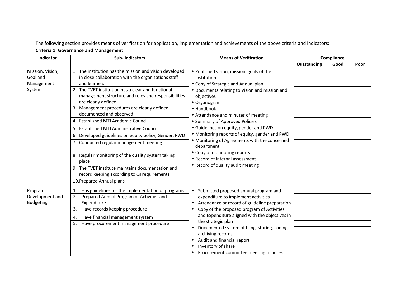The following section provides means of verification for application, implementation and achievements of the above criteria and indicators:

## **Criteria 1: Governance and Management**

| Indicator                                            | <b>Sub-Indicators</b>                                                                                                                                                                                                                                                                                                                                                                                                                                                                                                                                                                                                                                                                                                                   | <b>Means of Verification</b>                                                                                                                                                                                                                                                                                                                                                                                                                                                                                                                      | Compliance  |      |      |
|------------------------------------------------------|-----------------------------------------------------------------------------------------------------------------------------------------------------------------------------------------------------------------------------------------------------------------------------------------------------------------------------------------------------------------------------------------------------------------------------------------------------------------------------------------------------------------------------------------------------------------------------------------------------------------------------------------------------------------------------------------------------------------------------------------|---------------------------------------------------------------------------------------------------------------------------------------------------------------------------------------------------------------------------------------------------------------------------------------------------------------------------------------------------------------------------------------------------------------------------------------------------------------------------------------------------------------------------------------------------|-------------|------|------|
|                                                      |                                                                                                                                                                                                                                                                                                                                                                                                                                                                                                                                                                                                                                                                                                                                         |                                                                                                                                                                                                                                                                                                                                                                                                                                                                                                                                                   | Outstanding | Good | Poor |
| Mission, Vision,<br>Goal and<br>Management<br>System | 1. The institution has the mission and vision developed<br>in close collaboration with the organizations staff<br>and learners<br>2. The TVET institution has a clear and functional<br>management structure and roles and responsibilities<br>are clearly defined.<br>3. Management procedures are clearly defined,<br>documented and observed<br>4. Established MTI Academic Council<br>5. Established MTI Administrative Council<br>6. Developed guidelines on equity policy, Gender, PWD<br>7. Conducted regular management meeting<br>8. Regular monitoring of the quality system taking<br>place<br>9. The TVET institute maintains documentation and<br>record keeping according to QI requirements<br>10. Prepared Annual plans | • Published vision, mission, goals of the<br>institution<br>• Copy of Strategic and Annual plan<br>• Documents relating to Vision and mission and<br>objectives<br>• Organogram<br>$\bullet$ Handbook<br>• Attendance and minutes of meeting<br>• Summary of Approved Policies<br>• Guidelines on equity, gender and PWD<br>• Monitoring reports of equity, gender and PWD<br>• Monitoring of Agreements with the concerned<br>department<br>• Copy of monitoring reports<br>• Record of Internal assessment<br>• Record of quality audit meeting |             |      |      |
| Program<br>Development and<br><b>Budgeting</b>       | Has guidelines for the implementation of programs<br>1.<br>Prepared Annual Program of Activities and<br>2.<br>Expenditure<br>Have records keeping procedure<br>3.<br>Have financial management system<br>4.<br>Have procurement management procedure<br>5.                                                                                                                                                                                                                                                                                                                                                                                                                                                                              | Submitted proposed annual program and<br>$\bullet$<br>expenditure to implement activities<br>Attendance or record of guideline preparation<br>Copy of the proposed program of Activities<br>and Expenditure aligned with the objectives in<br>the strategic plan<br>Documented system of filing, storing, coding,<br>archiving records<br>Audit and financial report<br>Inventory of share<br>Procurement committee meeting minutes                                                                                                               |             |      |      |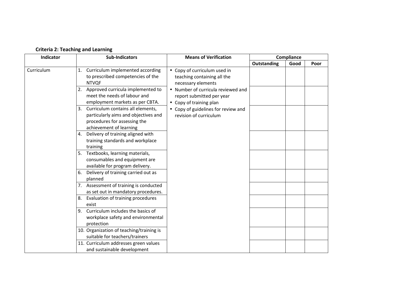| Indicator  | <b>Sub-Indicators</b>                                                                                                                      | <b>Means of Verification</b>                                                               |             | Compliance |      |
|------------|--------------------------------------------------------------------------------------------------------------------------------------------|--------------------------------------------------------------------------------------------|-------------|------------|------|
|            |                                                                                                                                            |                                                                                            | Outstanding | Good       | Poor |
| Curriculum | 1. Curriculum implemented according<br>to prescribed competencies of the<br><b>NTVQF</b>                                                   | • Copy of curriculum used in<br>teaching containing all the<br>necessary elements          |             |            |      |
|            | 2. Approved curricula implemented to<br>meet the needs of labour and<br>employment markets as per CBTA.                                    | • Number of curricula reviewed and<br>report submitted per year<br>• Copy of training plan |             |            |      |
|            | Curriculum contains all elements,<br>3.<br>particularly aims and objectives and<br>procedures for assessing the<br>achievement of learning | • Copy of guidelines for review and<br>revision of curriculum                              |             |            |      |
|            | 4. Delivery of training aligned with<br>training standards and workplace<br>training                                                       |                                                                                            |             |            |      |
|            | 5. Textbooks, learning materials,<br>consumables and equipment are<br>available for program delivery.                                      |                                                                                            |             |            |      |
|            | Delivery of training carried out as<br>6.<br>planned                                                                                       |                                                                                            |             |            |      |
|            | 7. Assessment of training is conducted<br>as set out in mandatory procedures.                                                              |                                                                                            |             |            |      |
|            | Evaluation of training procedures<br>8.<br>exist                                                                                           |                                                                                            |             |            |      |
|            | Curriculum includes the basics of<br>9.<br>workplace safety and environmental<br>protection                                                |                                                                                            |             |            |      |
|            | 10. Organization of teaching/training is<br>suitable for teachers/trainers                                                                 |                                                                                            |             |            |      |
|            | 11. Curriculum addresses green values<br>and sustainable development                                                                       |                                                                                            |             |            |      |

## **Criteria 2: Teaching and Learning**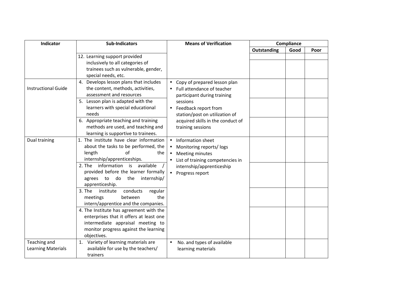| Indicator                  | <b>Sub-Indicators</b>                      | <b>Means of Verification</b>            | Compliance  |      |      |  |
|----------------------------|--------------------------------------------|-----------------------------------------|-------------|------|------|--|
|                            |                                            |                                         | Outstanding | Good | Poor |  |
|                            | 12. Learning support provided              |                                         |             |      |      |  |
|                            | inclusively to all categories of           |                                         |             |      |      |  |
|                            | trainees such as vulnerable, gender,       |                                         |             |      |      |  |
|                            | special needs, etc.                        |                                         |             |      |      |  |
|                            | 4. Develops lesson plans that includes     | Copy of prepared lesson plan            |             |      |      |  |
| <b>Instructional Guide</b> | the content, methods, activities,          | Full attendance of teacher              |             |      |      |  |
|                            | assessment and resources                   | participant during training             |             |      |      |  |
|                            | 5. Lesson plan is adapted with the         | sessions                                |             |      |      |  |
|                            | learners with special educational          | Feedback report from<br>$\bullet$       |             |      |      |  |
|                            | needs                                      | station/post on utilization of          |             |      |      |  |
|                            | 6. Appropriate teaching and training       | acquired skills in the conduct of       |             |      |      |  |
|                            | methods are used, and teaching and         | training sessions                       |             |      |      |  |
|                            | learning is supportive to trainees.        |                                         |             |      |      |  |
| Dual training              | 1. The institute have clear information    | Information sheet<br>$\bullet$          |             |      |      |  |
|                            | about the tasks to be performed, the       | Monitoring reports/logs<br>$\bullet$    |             |      |      |  |
|                            | $\alpha$ f<br>length<br>the                | Meeting minutes<br>$\bullet$            |             |      |      |  |
|                            | internship/apprenticeships.                | List of training competencies in        |             |      |      |  |
|                            | information is available<br>2. The         | internship/apprenticeship               |             |      |      |  |
|                            | provided before the learner formally       | Progress report<br>$\bullet$            |             |      |      |  |
|                            | do the<br>internship/<br>agrees to         |                                         |             |      |      |  |
|                            | apprenticeship.                            |                                         |             |      |      |  |
|                            | 3. The<br>conducts<br>institute<br>regular |                                         |             |      |      |  |
|                            | the<br>between<br>meetings                 |                                         |             |      |      |  |
|                            | intern/apprentice and the companies.       |                                         |             |      |      |  |
|                            | 4. The Institute has agreement with the    |                                         |             |      |      |  |
|                            | enterprises that it offers at least one    |                                         |             |      |      |  |
|                            | intermediate appraisal meeting to          |                                         |             |      |      |  |
|                            | monitor progress against the learning      |                                         |             |      |      |  |
|                            | objectives.                                |                                         |             |      |      |  |
| Teaching and               | 1. Variety of learning materials are       | No. and types of available<br>$\bullet$ |             |      |      |  |
| <b>Learning Materials</b>  | available for use by the teachers/         | learning materials                      |             |      |      |  |
|                            | trainers                                   |                                         |             |      |      |  |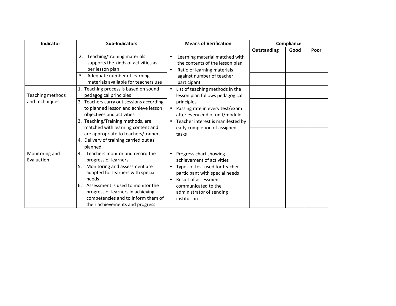| Indicator        | <b>Sub-Indicators</b>                    | <b>Means of Verification</b>                   | Compliance  |      |      |
|------------------|------------------------------------------|------------------------------------------------|-------------|------|------|
|                  |                                          |                                                | Outstanding | Good | Poor |
|                  | Teaching/training materials<br>2.        | Learning material matched with                 |             |      |      |
|                  | supports the kinds of activities as      | the contents of the lesson plan                |             |      |      |
|                  | per lesson plan                          | Ratio of learning materials<br>$\bullet$       |             |      |      |
|                  | Adequate number of learning<br>3.        | against number of teacher                      |             |      |      |
|                  | materials available for teachers use     | participant                                    |             |      |      |
|                  | 1. Teaching process is based on sound    | List of teaching methods in the<br>$\bullet$   |             |      |      |
| Teaching methods | pedagogical principles                   | lesson plan follows pedagogical                |             |      |      |
| and techniques   | 2. Teachers carry out sessions according | principles                                     |             |      |      |
|                  | to planned lesson and achieve lesson     | Passing rate in every test/exam<br>$\bullet$   |             |      |      |
|                  | objectives and activities                | after every end of unit/module                 |             |      |      |
|                  | 3. Teaching/Training methods, are        | Teacher interest is manifested by<br>$\bullet$ |             |      |      |
|                  | matched with learning content and        | early completion of assigned                   |             |      |      |
|                  | are appropriate to teachers/trainers     | tasks                                          |             |      |      |
|                  | 4. Delivery of training carried out as   |                                                |             |      |      |
|                  | planned                                  |                                                |             |      |      |
| Monitoring and   | Teachers monitor and record the<br>4.    | Progress chart showing                         |             |      |      |
| Evaluation       | progress of learners                     | achievement of activities                      |             |      |      |
|                  | Monitoring and assessment are<br>5.      | Types of test used for teacher<br>$\bullet$    |             |      |      |
|                  | adapted for learners with special        | participant with special needs                 |             |      |      |
|                  | needs                                    | Result of assessment<br>$\bullet$              |             |      |      |
|                  | Assessment is used to monitor the<br>6.  | communicated to the                            |             |      |      |
|                  | progress of learners in achieving        | administrator of sending                       |             |      |      |
|                  | competencies and to inform them of       | institution                                    |             |      |      |
|                  | their achievements and progress          |                                                |             |      |      |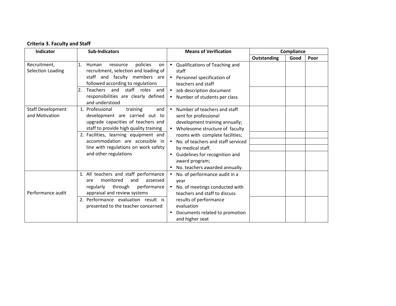|  |  | <b>Criteria 3. Faculty and Staff</b> |
|--|--|--------------------------------------|
|--|--|--------------------------------------|

| <b>Indicator</b>                           | <b>Sub-Indicators</b>                                                                                                                                                                                                                                                                             | <b>Means of Verification</b>                                                                                                                                                                                                                                                                                                       | Compliance         |      |      |
|--------------------------------------------|---------------------------------------------------------------------------------------------------------------------------------------------------------------------------------------------------------------------------------------------------------------------------------------------------|------------------------------------------------------------------------------------------------------------------------------------------------------------------------------------------------------------------------------------------------------------------------------------------------------------------------------------|--------------------|------|------|
|                                            |                                                                                                                                                                                                                                                                                                   |                                                                                                                                                                                                                                                                                                                                    | <b>Outstanding</b> | Good | Poor |
| Recruitment,<br><b>Selection Loading</b>   | $\mathbf{1}$ .<br>policies<br>Human<br>resource<br>on<br>recruitment, selection and loading of<br>staff and faculty members are<br>followed according to regulations<br>staff roles<br>Teachers and<br>and<br>responsibilities are clearly defined<br>and understood                              | • Qualifications of Teaching and<br>staff<br>• Personnel specification of<br>teachers and staff<br>• Job description document<br>• Number of students per class                                                                                                                                                                    |                    |      |      |
| <b>Staff Development</b><br>and Motivation | 1. Professional<br>training<br>and<br>development are carried out to<br>upgrade capacities of teachers and<br>staff to provide high quality training<br>2. Facilities, learning equipment and<br>accommodation are accessible in<br>line with regulations on work safety<br>and other regulations | Number of teachers and staff<br>$\bullet$<br>sent for professional<br>development training annually;<br>• Wholesome structure of faculty<br>rooms with complete facilities;<br>• No. of teachers and staff serviced<br>by medical staff.<br>• Guidelines for recognition and<br>award program;<br>• No. teachers awarded annually. |                    |      |      |
| Performance audit                          | 1. All teachers and staff performance<br>monitored<br>and<br>assessed<br>are<br>regularly<br>through<br>performance<br>appraisal and review systems<br>2. Performance evaluation result is<br>presented to the teacher concerned                                                                  | • No. of performance audit in a<br>year<br>• No. of meetings conducted with<br>teachers and staff to discuss<br>results of performance<br>evaluation<br>Documents related to promotion<br>and higher seat                                                                                                                          |                    |      |      |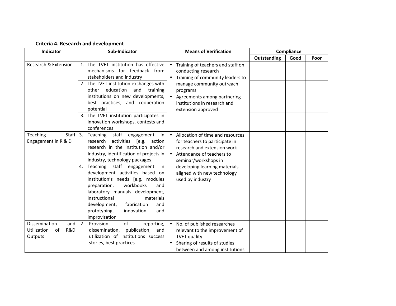## **Criteria 4. Research and development**

| <b>Indicator</b>                                            | Sub-Indicator                                                                                                                                                                                                                                                                                                                                                                                                                                                                                                     | <b>Means of Verification</b>                                                                                                                                                                                                                   | <b>Compliance</b>  |      |      |
|-------------------------------------------------------------|-------------------------------------------------------------------------------------------------------------------------------------------------------------------------------------------------------------------------------------------------------------------------------------------------------------------------------------------------------------------------------------------------------------------------------------------------------------------------------------------------------------------|------------------------------------------------------------------------------------------------------------------------------------------------------------------------------------------------------------------------------------------------|--------------------|------|------|
|                                                             |                                                                                                                                                                                                                                                                                                                                                                                                                                                                                                                   |                                                                                                                                                                                                                                                | <b>Outstanding</b> | Good | Poor |
| Research & Extension                                        | 1. The TVET institution has effective<br>mechanisms for feedback from<br>stakeholders and industry<br>2. The TVET institution exchanges with<br>education<br>and<br>other<br>training<br>institutions on new developments,<br>best practices, and cooperation<br>potential<br>3. The TVET institution participates in<br>innovation workshops, contests and<br>conferences                                                                                                                                        | Training of teachers and staff on<br>conducting research<br>• Training of community leaders to<br>manage community outreach<br>programs<br>• Agreements among partnering<br>institutions in research and<br>extension approved                 |                    |      |      |
| Staff $ 3.$<br>Teaching<br>Engagement in R & D              | Teaching staff engagement<br>in<br>[e.g.<br>research<br>activities<br>action<br>research in the institution and/or<br>Industry, identification of projects in<br>industry, technology packages]<br>Teaching staff engagement<br>4.<br>in<br>development activities based on<br>institution's needs [e.g. modules<br>workbooks<br>preparation,<br>and<br>laboratory manuals development,<br>instructional<br>materials<br>fabrication<br>development,<br>and<br>innovation<br>prototyping,<br>and<br>improvisation | • Allocation of time and resources<br>for teachers to participate in<br>research and extension work<br>• Attendance of teachers to<br>seminar/workshops in<br>developing learning materials<br>aligned with new technology<br>used by industry |                    |      |      |
| Dissemination<br>and<br>Utilization<br>of<br>R&D<br>Outputs | Provision<br>of<br>2.<br>reporting,<br>publication,<br>dissemination,<br>and<br>utilization of institutions success<br>stories, best practices                                                                                                                                                                                                                                                                                                                                                                    | No. of published researches<br>$\bullet$<br>relevant to the improvement of<br><b>TVET quality</b><br>Sharing of results of studies<br>between and among institutions                                                                           |                    |      |      |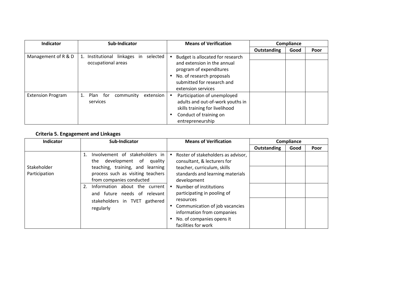| <b>Indicator</b>         | Sub-Indicator                                                  | <b>Means of Verification</b>                                                                                                                                                |             | Compliance |      |
|--------------------------|----------------------------------------------------------------|-----------------------------------------------------------------------------------------------------------------------------------------------------------------------------|-------------|------------|------|
|                          |                                                                |                                                                                                                                                                             | Outstanding | Good       | Poor |
| Management of R & D      | 1. Institutional linkages in<br>selected<br>occupational areas | Budget is allocated for research<br>and extension in the annual<br>program of expenditures<br>No. of research proposals<br>submitted for research and<br>extension services |             |            |      |
| <b>Extension Program</b> | 1. Plan for<br>community<br>extension<br>services              | Participation of unemployed<br>adults and out-of-work youths in<br>skills training for livelihood<br>Conduct of training on<br>entrepreneurship                             |             |            |      |

# **Criteria 5. Engagement and Linkages**

| <b>Indicator</b> | Sub-Indicator                                                                                       | <b>Means of Verification</b>                                                                                                  | Compliance  |      |      |
|------------------|-----------------------------------------------------------------------------------------------------|-------------------------------------------------------------------------------------------------------------------------------|-------------|------|------|
|                  |                                                                                                     |                                                                                                                               | Outstanding | Good | Poor |
| Stakeholder      | Involvement of stakeholders in<br>the development of<br>quality<br>teaching, training, and learning | Roster of stakeholders as advisor,<br>$\bullet$<br>consultant, & lecturers for<br>teacher, curriculum, skills                 |             |      |      |
| Participation    | process such as visiting teachers<br>from companies conducted                                       | standards and learning materials<br>development                                                                               |             |      |      |
|                  | Information about the<br>2.<br>current<br>and future needs of relevant                              | Number of institutions<br>participating in pooling of                                                                         |             |      |      |
|                  | stakeholders in TVET gathered<br>regularly                                                          | resources<br>Communication of job vacancies<br>information from companies<br>No. of companies opens it<br>facilities for work |             |      |      |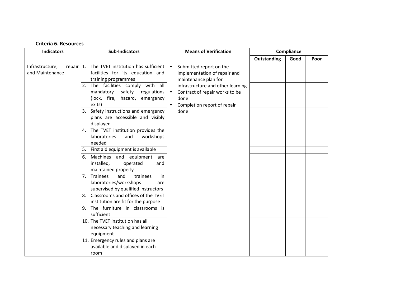| <b>Indicators</b>                                       |    | <b>Sub-Indicators</b>                                                                                                                                                  | <b>Means of Verification</b>                                                                                                                                                     |             | Compliance |      |
|---------------------------------------------------------|----|------------------------------------------------------------------------------------------------------------------------------------------------------------------------|----------------------------------------------------------------------------------------------------------------------------------------------------------------------------------|-------------|------------|------|
|                                                         |    |                                                                                                                                                                        |                                                                                                                                                                                  | Outstanding | Good       | Poor |
| Infrastructure,<br>repair $\vert$ 1.<br>and Maintenance | 2. | The TVET institution has sufficient<br>facilities for its education and<br>training programmes<br>The facilities comply with all<br>mandatory<br>safety<br>regulations | Submitted report on the<br>$\bullet$<br>implementation of repair and<br>maintenance plan for<br>infrastructure and other learning<br>Contract of repair works to be<br>$\bullet$ |             |            |      |
|                                                         |    | (lock, fire, hazard, emergency<br>exits)                                                                                                                               | done<br>Completion report of repair<br>٠                                                                                                                                         |             |            |      |
|                                                         | 3. | Safety instructions and emergency<br>plans are accessible and visibly<br>displayed                                                                                     | done                                                                                                                                                                             |             |            |      |
|                                                         |    | 4. The TVET institution provides the<br>laboratories<br>workshops<br>and<br>needed                                                                                     |                                                                                                                                                                                  |             |            |      |
|                                                         |    | 5. First aid equipment is available                                                                                                                                    |                                                                                                                                                                                  |             |            |      |
|                                                         | 6. | Machines and equipment<br>are<br>installed,<br>operated<br>and<br>maintained properly                                                                                  |                                                                                                                                                                                  |             |            |      |
|                                                         | 7. | Trainees<br>and<br>trainees<br>in<br>laboratories/workshops<br>are<br>supervised by qualified instructors                                                              |                                                                                                                                                                                  |             |            |      |
|                                                         | 8. | Classrooms and offices of the TVET<br>institution are fit for the purpose                                                                                              |                                                                                                                                                                                  |             |            |      |
|                                                         |    | 9. The furniture in classrooms is<br>sufficient                                                                                                                        |                                                                                                                                                                                  |             |            |      |
|                                                         |    | 10. The TVET institution has all<br>necessary teaching and learning<br>equipment                                                                                       |                                                                                                                                                                                  |             |            |      |
|                                                         |    | 11. Emergency rules and plans are<br>available and displayed in each<br>room                                                                                           |                                                                                                                                                                                  |             |            |      |

**Criteria 6. Resources**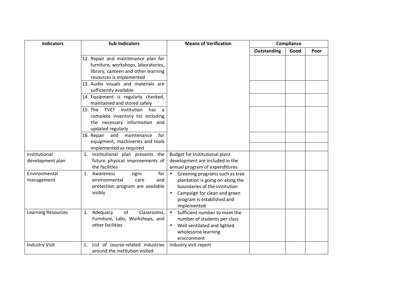| <b>Indicators</b>                 | <b>Sub-Indicators</b>                                                                                                                                   | <b>Means of Verification</b>                                                                                                                                                                               |             | Compliance |      |
|-----------------------------------|---------------------------------------------------------------------------------------------------------------------------------------------------------|------------------------------------------------------------------------------------------------------------------------------------------------------------------------------------------------------------|-------------|------------|------|
|                                   |                                                                                                                                                         |                                                                                                                                                                                                            | Outstanding | Good       | Poor |
|                                   | 12. Repair and maintenance plan for<br>furniture, workshops, laboratories,<br>library, canteen and other learning<br>resources is implemented           |                                                                                                                                                                                                            |             |            |      |
|                                   | 13. Audio visuals and materials are<br>sufficiently available                                                                                           |                                                                                                                                                                                                            |             |            |      |
|                                   | 14. Equipment is regularly checked,<br>maintained and stored safely                                                                                     |                                                                                                                                                                                                            |             |            |      |
|                                   | 15. The<br><b>TVET</b><br>institution<br>has<br>$\mathsf{a}$<br>complete inventory list including<br>the necessary information and<br>updated regularly |                                                                                                                                                                                                            |             |            |      |
|                                   | 16. Repair<br>and<br>maintenance<br>for<br>equipment, machineries and tools<br>implemented as required                                                  |                                                                                                                                                                                                            |             |            |      |
| Institutional<br>development plan | Institutional plan presents the<br>1.<br>future physical improvements of<br>the facilities                                                              | Budget for Institutional plant<br>development are included in the<br>annual program of expenditures                                                                                                        |             |            |      |
| Environmental<br>management       | for<br>Awareness<br>1.<br>signs<br>environmental<br>and<br>care<br>protection program are available<br>visibly                                          | $\bullet$<br>Greening programs such as tree<br>plantation is going on along the<br>boundaries of the institution<br>Campaign for clean and green<br>$\bullet$<br>program is established and<br>implemented |             |            |      |
| <b>Learning Resources</b>         | of<br>Adequacy<br>Classrooms,<br>1.<br>Furniture, Labs, Workshops, and<br>other facilities                                                              | Sufficient number to meet the<br>$\bullet$<br>number of students per class<br>Well ventilated and lighted<br>wholesome learning<br>environment                                                             |             |            |      |
| <b>Industry Visit</b>             | List of course-related industries<br>1.<br>around the institution visited                                                                               | Industry visit report                                                                                                                                                                                      |             |            |      |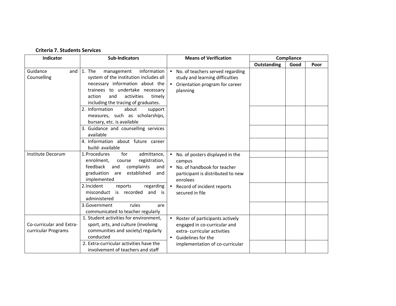#### **Criteria 7. Students Services**

| Indicator                                       | <b>Sub-Indicators</b>                                                                                                                                                                                                                                                                                                                                                                                                                                    | <b>Means of Verification</b>                                                                                                                                                                           |             |      | Compliance |  |
|-------------------------------------------------|----------------------------------------------------------------------------------------------------------------------------------------------------------------------------------------------------------------------------------------------------------------------------------------------------------------------------------------------------------------------------------------------------------------------------------------------------------|--------------------------------------------------------------------------------------------------------------------------------------------------------------------------------------------------------|-------------|------|------------|--|
|                                                 |                                                                                                                                                                                                                                                                                                                                                                                                                                                          |                                                                                                                                                                                                        | Outstanding | Good | Poor       |  |
| Guidance<br>and<br>Counselling                  | information<br>1. The<br>management<br>system of the institution includes all<br>necessary information about the<br>trainees to undertake necessary<br>activities<br>action<br>and<br>timely<br>including the tracing of graduates.<br>2. Information<br>about<br>support<br>measures, such as scholarships,<br>bursary, etc. is available<br>3. Guidance and counselling services<br>available<br>4. Information about future career<br>build-available | No. of teachers served regarding<br>$\bullet$<br>study and learning difficulties<br>Orientation program for career<br>$\bullet$<br>planning                                                            |             |      |            |  |
| Institute Decorum                               | 1. Procedures<br>for<br>admittance,<br>registration,<br>enrolment,<br>course<br>feedback<br>complaints<br>and<br>and<br>graduation<br>are established<br>and<br>implemented<br>2. Incident<br>reports<br>regarding<br>is recorded<br>misconduct<br>and is<br>administered<br>rules<br>3.Government<br>are<br>communicated to teacher regularly                                                                                                           | No. of posters displayed in the<br>$\bullet$<br>campus<br>• No. of handbook for teacher<br>participant is distributed to new<br>enrolees<br>Record of incident reports<br>$\bullet$<br>secured in file |             |      |            |  |
| Co-curricular and Extra-<br>curricular Programs | 1. Student activities for environment,<br>sport, arts, and culture (involving<br>communities and society) regularly<br>conducted<br>2. Extra-curricular activities have the<br>involvement of teachers and staff                                                                                                                                                                                                                                         | Roster of participants actively<br>$\bullet$<br>engaged in co-curricular and<br>extra-curricular activities<br>Guidelines for the<br>$\bullet$<br>implementation of co-curricular                      |             |      |            |  |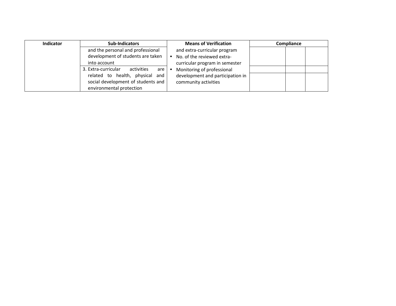| <b>Indicator</b> | <b>Sub-Indicators</b>                    | <b>Means of Verification</b>     | <b>Compliance</b> |
|------------------|------------------------------------------|----------------------------------|-------------------|
|                  | and the personal and professional        | and extra-curricular program     |                   |
|                  | development of students are taken        | No. of the reviewed extra-       |                   |
|                  | into account                             | curricular program in semester   |                   |
|                  | 3. Extra-curricular<br>activities<br>are | Monitoring of professional       |                   |
|                  | related to health, physical<br>and       | development and participation in |                   |
|                  | social development of students and       | community activities             |                   |
|                  | environmental protection                 |                                  |                   |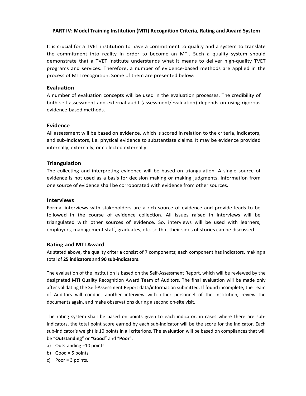#### **PART IV: Model Training Institution (MTI) Recognition Criteria, Rating and Award System**

It is crucial for a TVET institution to have a commitment to quality and a system to translate the commitment into reality in order to become an MTI. Such a quality system should demonstrate that a TVET institute understands what it means to deliver high-quality TVET programs and services. Therefore, a number of evidence-based methods are applied in the process of MTI recognition. Some of them are presented below:

#### **Evaluation**

A number of evaluation concepts will be used in the evaluation processes. The credibility of both self-assessment and external audit (assessment/evaluation) depends on using rigorous evidence-based methods.

#### **Evidence**

All assessment will be based on evidence, which is scored in relation to the criteria, indicators, and sub-indicators, i.e. physical evidence to substantiate claims. It may be evidence provided internally, externally, or collected externally.

#### **Triangulation**

The collecting and interpreting evidence will be based on triangulation. A single source of evidence is not used as a basis for decision making or making judgments. Information from one source of evidence shall be corroborated with evidence from other sources.

#### **Interviews**

Formal interviews with stakeholders are a rich source of evidence and provide leads to be followed in the course of evidence collection. All issues raised in interviews will be triangulated with other sources of evidence. So, interviews will be used with learners, employers, management staff, graduates, etc. so that their sides of stories can be discussed.

#### **Rating and MTI Award**

As stated above, the quality criteria consist of 7 components; each component has indicators, making a total of **25 indicators** and **90 sub-indicators**.

The evaluation of the institution is based on the Self-Assessment Report, which will be reviewed by the designated MTI Quality Recognition Award Team of Auditors. The final evaluation will be made only after validating the Self-Assessment Report data/information submitted. If found incomplete, the Team of Auditors will conduct another interview with other personnel of the institution, review the documents again, and make observations during a second on-site visit.

The rating system shall be based on points given to each indicator, in cases where there are subindicators, the total point score earned by each sub-indicator will be the score for the indicator. Each sub-indicator's weight is 10 points in all criterions. The evaluation will be based on compliances that will be "**Outstanding**" or "**Good**" and "**Poor**".

- a) Outstanding =10 points
- b) Good =  $5$  points
- c) Poor = 3 points.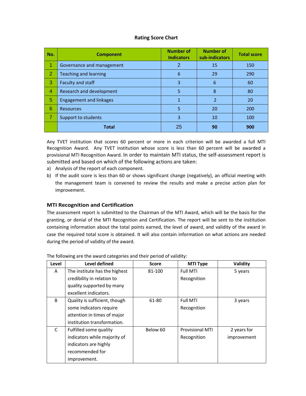#### **Rating Score Chart**

| No. | <b>Component</b>               | <b>Number of</b><br><b>Indicators</b> | <b>Number of</b><br>sub-indicators | <b>Total score</b> |
|-----|--------------------------------|---------------------------------------|------------------------------------|--------------------|
|     | Governance and management      | 2                                     | 15                                 | 150                |
| 2   | <b>Teaching and learning</b>   | 6                                     | 29                                 | 290                |
| 3   | Faculty and staff              | 3                                     | 6                                  | 60                 |
| 4   | Research and development       | 5                                     | 8                                  | 80                 |
| 5   | <b>Engagement and linkages</b> | 1                                     | $\overline{2}$                     | 20                 |
| 6   | <b>Resources</b>               | 5                                     | 20                                 | 200                |
| 7   | Support to students            | 3                                     | 10                                 | 100                |
|     | <b>Total</b>                   | 25                                    | 90                                 | 900                |

Any TVET institution that scores 60 percent or more in each criterion will be awarded a full MTI Recognition Award. Any TVET institution whose score is less than 60 percent will be awarded a provisional MTI Recognition Award. In order to maintain MTI status, the self-assessment report is submitted and based on which of the following actions are taken:

- a) Analysis of the report of each component.
- b) If the audit score is less than 60 or shows significant change (negatively), an official meeting with the management team is convened to review the results and make a precise action plan for improvement.

#### **MTI Recognition and Certification**

The assessment report is submitted to the Chairman of the MTI Award, which will be the basis for the granting, or denial of the MTI Recognition and Certification. The report will be sent to the institution containing information about the total points earned, the level of award, and validity of the award in case the required total score is obtained. It will also contain information on what actions are needed during the period of validity of the award.

| Level | Level defined                 | <b>Score</b> | <b>MTI Type</b>        | Validity    |
|-------|-------------------------------|--------------|------------------------|-------------|
| A     | The institute has the highest | 81-100       | <b>Full MTI</b>        | 5 years     |
|       | credibility in relation to    |              | Recognition            |             |
|       | quality supported by many     |              |                        |             |
|       | excellent indicators.         |              |                        |             |
| B     | Quality is sufficient, though | 61-80        | <b>Full MTI</b>        | 3 years     |
|       | some indicators require       |              | Recognition            |             |
|       | attention in times of major   |              |                        |             |
|       | institution transformation.   |              |                        |             |
| C     | Fulfilled some quality        | Below 60     | <b>Provisional MTI</b> | 2 years for |
|       | indicators while majority of  |              | Recognition            | improvement |
|       | indicators are highly         |              |                        |             |
|       | recommended for               |              |                        |             |
|       | improvement.                  |              |                        |             |

The following are the award categories and their period of validity: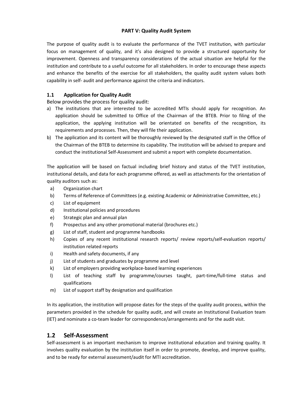#### **PART V: Quality Audit System**

The purpose of quality audit is to evaluate the performance of the TVET institution, with particular focus on management of quality, and it's also designed to provide a structured opportunity for improvement. Openness and transparency considerations of the actual situation are helpful for the institution and contribute to a useful outcome for all stakeholders. In order to encourage these aspects and enhance the benefits of the exercise for all stakeholders, the quality audit system values both capability in self- audit and performance against the criteria and indicators.

## **1.1 Application for Quality Audit**

Below provides the process for quality audit:

- a) The institutions that are interested to be accredited MTIs should apply for recognition. An application should be submitted to Office of the Chairman of the BTEB. Prior to filing of the application, the applying institution will be orientated on benefits of the recognition, its requirements and processes. Then, they will file their application.
- b) The application and its content will be thoroughly reviewed by the designated staff in the Office of the Chairman of the BTEB to determine its capability. The institution will be advised to prepare and conduct the institutional Self-Assessment and submit a report with complete documentation.

The application will be based on factual including brief history and status of the TVET institution, institutional details, and data for each programme offered, as well as attachments for the orientation of quality auditors such as:

- a) Organization chart
- b) Terms of Reference of Committees (e.g. existing Academic or Administrative Committee, etc.)
- c) List of equipment
- d) Institutional policies and procedures
- e) Strategic plan and annual plan
- f) Prospectus and any other promotional material (brochures etc.)
- g) List of staff, student and programme handbooks
- h) Copies of any recent institutional research reports/ review reports/self-evaluation reports/ institution related reports
- i) Health and safety documents, if any
- j) List of students and graduates by programme and level
- k) List of employers providing workplace-based learning experiences
- l) List of teaching staff by programme/courses taught, part-time/full-time status and qualifications
- m) List of support staff by designation and qualification

In its application, the institution will propose dates for the steps of the quality audit process, within the parameters provided in the schedule for quality audit, and will create an Institutional Evaluation team (IET) and nominate a co-team leader for correspondence/arrangements and for the audit visit.

## **1.2 Self-Assessment**

Self-assessment is an important mechanism to improve institutional education and training quality. It involves quality evaluation by the institution itself in order to promote, develop, and improve quality, and to be ready for external assessment/audit for MTI accreditation.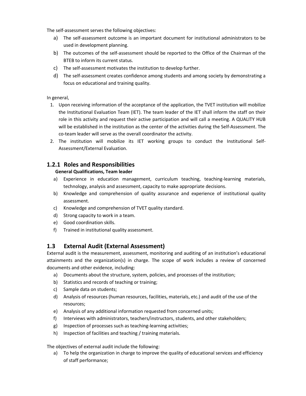The self-assessment serves the following objectives:

- a) The self-assessment outcome is an important document for institutional administrators to be used in development planning.
- b) The outcomes of the self-assessment should be reported to the Office of the Chairman of the BTEB to inform its current status.
- c) The self-assessment motivates the institution to develop further.
- d) The self-assessment creates confidence among students and among society by demonstrating a focus on educational and training quality.

#### In general,

- 1. Upon receiving information of the acceptance of the application, the TVET institution will mobilize the Institutional Evaluation Team (IET). The team leader of the IET shall inform the staff on their role in this activity and request their active participation and will call a meeting. A QUALITY HUB will be established in the institution as the center of the activities during the Self-Assessment. The co-team leader will serve as the overall coordinator the activity.
- 2. The institution will mobilize its IET working groups to conduct the Institutional Self-Assessment/External Evaluation.

# **1.2.1 Roles and Responsibilities**

## **General Qualifications, Team leader**

- a) Experience in education management, curriculum teaching, teaching-learning materials, technology, analysis and assessment, capacity to make appropriate decisions.
- b) Knowledge and comprehension of quality assurance and experience of institutional quality assessment.
- c) Knowledge and comprehension of TVET quality standard.
- d) Strong capacity to work in a team.
- e) Good coordination skills.
- f) Trained in institutional quality assessment.

## **1.3 External Audit (External Assessment)**

External audit is the measurement, assessment, monitoring and auditing of an institution's educational attainments and the organization(s) in charge. The scope of work includes a review of concerned documents and other evidence, including:

- a) Documents about the structure, system, policies, and processes of the institution;
- b) Statistics and records of teaching or training;
- c) Sample data on students;
- d) Analysis of resources (human resources, facilities, materials, etc.) and audit of the use of the resources;
- e) Analysis of any additional information requested from concerned units;
- f) Interviews with administrators, teachers/instructors, students, and other stakeholders;
- g) Inspection of processes such as teaching-learning activities;
- h) Inspection of facilities and teaching / training materials.

The objectives of external audit include the following:

a) To help the organization in charge to improve the quality of educational services and efficiency of staff performance;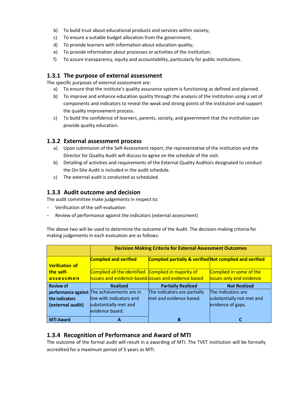- b) To build trust about educational products and services within society;
- c) To ensure a suitable budget allocation from the government;
- d) To provide learners with information about education quality;
- e) To provide information about processes or activities of the institution;
- f) To assure transparency, equity and accountability, particularly for public institutions.

# **1.3.1 The purpose of external assessment**

The specific purposes of external assessment are:

- a) To ensure that the institute's quality assurance system is functioning as defined and planned.
- b) To improve and enhance education quality through the analysis of the institution using a set of components and indicators to reveal the weak and strong points of the institution and support the quality improvement process.
- c) To build the confidence of learners, parents, society, and government that the institution can provide quality education.

# **1.3.2 External assessment process**

- a) Upon submission of the Self-Assessment report, the representative of the institution and the Director for Quality Audit will discuss to agree on the schedule of the visit.
- b) Detailing of activities and requirements of the External Quality Auditors designated to conduct the On-Site Audit is included in the audit schedule.
- c) The external audit is conducted as scheduled.

# **1.3.3 Audit outcome and decision**

The audit committee make judgements in respect to:

- Verification of the self-evaluation
- Review of performance against the indicators (external assessment)

The above two will be used to determine the outcome of the Audit. The decision-making criteria for making judgements in each evaluation are as follows:

|                        | <b>Decision Making Criteria for External Assessment Outcomes</b> |                                                                    |                                 |  |  |
|------------------------|------------------------------------------------------------------|--------------------------------------------------------------------|---------------------------------|--|--|
|                        | <b>Complied and verified</b>                                     | <b>Complied partially &amp; verified Not complied and verified</b> |                                 |  |  |
| <b>Verification of</b> |                                                                  |                                                                    |                                 |  |  |
| the self-              | Complied all the identified Complied in majority of              |                                                                    | Complied in some of the         |  |  |
| assessmen              | issues and evidence-based. issues and evidence based             |                                                                    | <b>issues only and evidence</b> |  |  |
| <b>Review of</b>       | <b>Realized</b>                                                  | <b>Partially Realized</b>                                          | <b>Not Realized</b>             |  |  |
|                        |                                                                  | The indicators are partially                                       |                                 |  |  |
|                        | performance against The achievements are in                      |                                                                    | The indicators are              |  |  |
| the indicators         | line with indicators and                                         | met and evidence based.                                            | substantially not met and       |  |  |
| (external audit)       | substantially met and                                            |                                                                    | evidence of gaps.               |  |  |
|                        | evidence based.                                                  |                                                                    |                                 |  |  |

# **1.3.4 Recognition of Performance and Award of MTI**

The outcome of the formal audit will result in a awarding of MTI. The TVET institution will be formally accredited for a maximum period of 5 years as MTI.